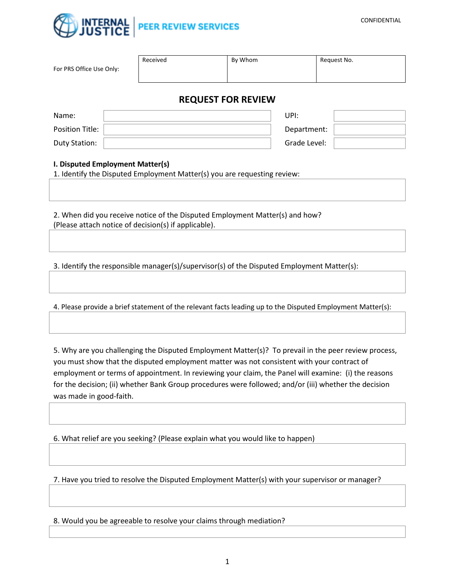

| For PRS Office Use Only: | Received | By Whom | Request No. |  |
|--------------------------|----------|---------|-------------|--|
| BEAUFET FAR BEUTHU       |          |         |             |  |

## **REQUEST FOR REVIEW**

| Name:           | UPI:         |  |
|-----------------|--------------|--|
| Position Title: | Department:  |  |
| Duty Station:   | Grade Level: |  |

## **I. Disputed Employment Matter(s)**

1. Identify the Disputed Employment Matter(s) you are requesting review:

2. When did you receive notice of the Disputed Employment Matter(s) and how? (Please attach notice of decision(s) if applicable).

3. Identify the responsible manager(s)/supervisor(s) of the Disputed Employment Matter(s):

4. Please provide a brief statement of the relevant facts leading up to the Disputed Employment Matter(s):

5. Why are you challenging the Disputed Employment Matter(s)? To prevail in the peer review process, you must show that the disputed employment matter was not consistent with your contract of employment or terms of appointment. In reviewing your claim, the Panel will examine: (i) the reasons for the decision; (ii) whether Bank Group procedures were followed; and/or (iii) whether the decision was made in good-faith.

6. What relief are you seeking? (Please explain what you would like to happen)

7. Have you tried to resolve the Disputed Employment Matter(s) with your supervisor or manager?

8. Would you be agreeable to resolve your claims through mediation?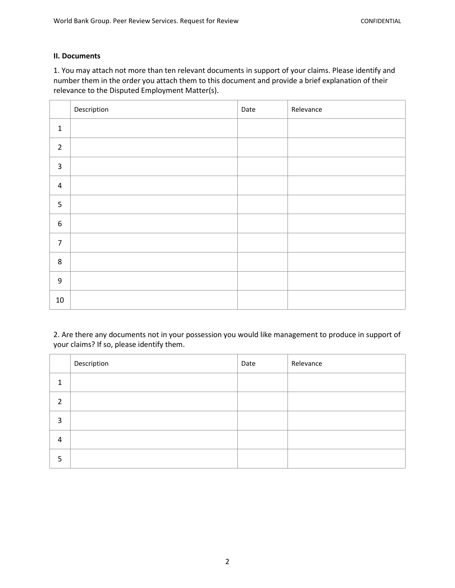## **II. Documents**

1. You may attach not more than ten relevant documents in support of your claims. Please identify and number them in the order you attach them to this document and provide a brief explanation of their relevance to the Disputed Employment Matter(s).

|                         | Description | Date | Relevance |
|-------------------------|-------------|------|-----------|
| $\mathbf 1$             |             |      |           |
| $\overline{2}$          |             |      |           |
| $\overline{\mathbf{3}}$ |             |      |           |
| $\pmb{4}$               |             |      |           |
| 5                       |             |      |           |
| $\boldsymbol{6}$        |             |      |           |
| $\overline{7}$          |             |      |           |
| $\bf 8$                 |             |      |           |
| $\boldsymbol{9}$        |             |      |           |
| $10\,$                  |             |      |           |

2. Are there any documents not in your possession you would like management to produce in support of your claims? If so, please identify them.

|   | Description | Date | Relevance |
|---|-------------|------|-----------|
|   |             |      |           |
| 2 |             |      |           |
| 3 |             |      |           |
| 4 |             |      |           |
| 5 |             |      |           |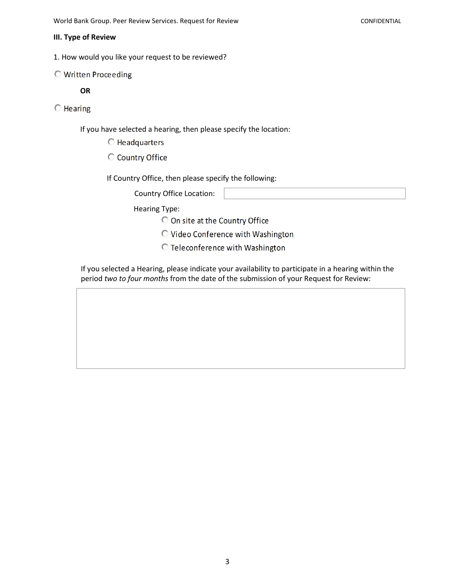#### **III. Type of Review**

1. How would you like your request to be reviewed?

## **O** Written Proceeding

## **OR**

## $\bigcirc$  Hearing

If you have selected a hearing, then please specify the location:

C Headquarters

C Country Office

If Country Office, then please specify the following:

Country Office Location:

Hearing Type:

On site at the Country Office

O Video Conference with Washington

**C** Teleconference with Washington

If you selected a Hearing, please indicate your availability to participate in a hearing within the period *two to four months* from the date of the submission of your Request for Review: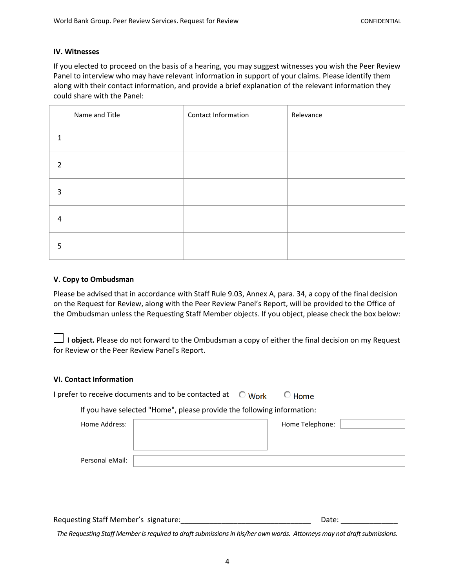### **IV. Witnesses**

If you elected to proceed on the basis of a hearing, you may suggest witnesses you wish the Peer Review Panel to interview who may have relevant information in support of your claims. Please identify them along with their contact information, and provide a brief explanation of the relevant information they could share with the Panel:

|                | Name and Title | Contact Information | Relevance |
|----------------|----------------|---------------------|-----------|
| 1              |                |                     |           |
| $\overline{2}$ |                |                     |           |
| 3              |                |                     |           |
| $\overline{4}$ |                |                     |           |
| 5              |                |                     |           |

### **V. Copy to Ombudsman**

Please be advised that in accordance with Staff Rule 9.03, Annex A, para. 34, a copy of the final decision on the Request for Review, along with the Peer Review Panel's Report, will be provided to the Office of the Ombudsman unless the Requesting Staff Member objects. If you object, please check the box below:

 **I object.** Please do not forward to the Ombudsman a copy of either the final decision on my Request for Review or the Peer Review Panel's Report.

## **VI. Contact Information**

| I prefer to receive documents and to be contacted at | $\circlearrowright$ Work |
|------------------------------------------------------|--------------------------|
|------------------------------------------------------|--------------------------|

If you have selected "Home", please provide the following information:

| Home Address:   | Home Telephone: |  |
|-----------------|-----------------|--|
|                 |                 |  |
|                 |                 |  |
| Personal eMail: |                 |  |

 $\bigcirc$  Home

Requesting Staff Member's signature: etc. and the state of the Date: etc. All the Date:

*The Requesting Staff Member is required to draft submissions in his/her own words. Attorneys may not draft submissions.*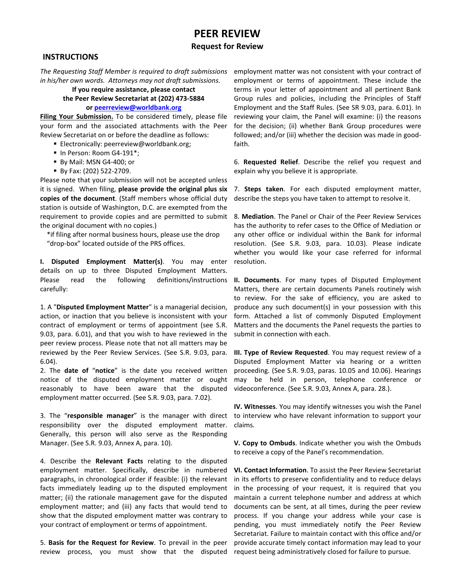# **PEER REVIEW**

#### **Request for Review**

## **INSTRUCTIONS**

*The Requesting Staff Member is required to draft submissions in his/her own words. Attorneys may not draft submissions.*

## **If you require assistance, please contact the Peer Review Secretariat at (202) 473-5884**

## **or [peerreview@worldbank.org](mailto:peerreview@worldbank.org)**

**Filing Your Submission.** To be considered timely, please file your form and the associated attachments with the Peer Review Secretariat on or before the deadline as follows:

- **Electronically: [peerreview@worldbank.org;](mailto:peerreview@worldbank.org)**
- In Person: Room G4-191\*;
- By Mail: MSN G4-400; or
- By Fax: (202) 522-2709.

Please note that your submission will not be accepted unless it is signed. When filing, **please provide the original plus six copies of the document**. (Staff members whose official duty station is outside of Washington, D.C. are exempted from the requirement to provide copies and are permitted to submit the original document with no copies.)

\*if filing after normal business hours, please use the drop "drop-box" located outside of the PRS offices.

**I. Disputed Employment Matter(s)**. You may enter details on up to three Disputed Employment Matters. Please read the following definitions/instructions carefully:

1. A "**Disputed Employment Matter**" is a managerial decision, action, or inaction that you believe is inconsistent with your contract of employment or terms of appointment (see S.R. 9.03, para. 6.01), and that you wish to have reviewed in the peer review process. Please note that not all matters may be reviewed by the Peer Review Services. (See S.R. 9.03, para. 6.04).

2. The **date of** "**notice**" is the date you received written notice of the disputed employment matter or ought reasonably to have been aware that the disputed employment matter occurred. (See S.R. 9.03, para. 7.02).

3. The "**responsible manager**" is the manager with direct responsibility over the disputed employment matter. Generally, this person will also serve as the Responding Manager. (See S.R. 9.03, Annex A, para. 10).

4. Describe the **Relevant Facts** relating to the disputed employment matter. Specifically, describe in numbered paragraphs, in chronological order if feasible: (i) the relevant facts immediately leading up to the disputed employment matter; (ii) the rationale management gave for the disputed employment matter; and (iii) any facts that would tend to show that the disputed employment matter was contrary to your contract of employment or terms of appointment.

5. **Basis for the Request for Review**. To prevail in the peer review process, you must show that the disputed request-being-administratively-closed-for-failure-to-pursue.

employment matter was not consistent with your contract of employment or terms of appointment. These include the terms in your letter of appointment and all pertinent Bank Group rules and policies, including the Principles of Staff Employment and the Staff Rules. (See SR 9.03, para. 6.01). In reviewing your claim, the Panel will examine: (i) the reasons for the decision; (ii) whether Bank Group procedures were followed; and/or (iii) whether the decision was made in goodfaith.

6. **Requested Relief**. Describe the relief you request and explain why you believe it is appropriate.

7. **Steps taken**. For each disputed employment matter, describe the steps you have taken to attempt to resolve it.

8. **Mediation**. The Panel or Chair of the Peer Review Services has the authority to refer cases to the Office of Mediation or any other office or individual within the Bank for informal resolution. (See S.R. 9.03, para. 10.03). Please indicate whether you would like your case referred for informal resolution.

**II. Documents**. For many types of Disputed Employment Matters, there are certain documents Panels routinely wish to review. For the sake of efficiency, you are asked to produce any such document(s) in your possession with this form. Attached a list of commonly Disputed Employment Matters and the documents the Panel requests the parties to submit in connection with each.

**III. Type of Review Requested**. You may request review of a Disputed Employment Matter via hearing or a written proceeding. (See S.R. 9.03, paras. 10.05 and 10.06). Hearings may be held in person, telephone conference or videoconference. (See S.R. 9.03, Annex A, para. 28.).

**IV. Witnesses**. You may identify witnesses you wish the Panel to interview who have relevant information to support your claims.

**V. Copy to Ombuds**. Indicate whether you wish the Ombuds to receive a copy of the Panel's recommendation.

**VI. Contact Information**. To assist the Peer Review Secretariat in its efforts to preserve confidentiality and to reduce delays in the processing of your request, it is required that you maintain a current telephone number and address at which documents can be sent, at all times, during the peer review process. If you change your address while your case is pending, you must immediately notify the Peer Review Secretariat. Failure to maintain contact with this office and/or provide accurate timely contact information may lead to your